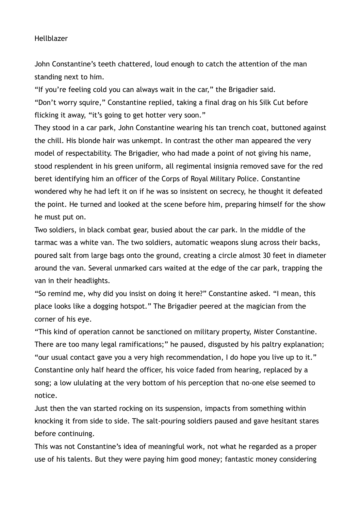## Hellblazer

John Constantine's teeth chattered, loud enough to catch the attention of the man standing next to him.

"If you're feeling cold you can always wait in the car," the Brigadier said. "Don't worry squire," Constantine replied, taking a final drag on his Silk Cut before flicking it away, "it's going to get hotter very soon."

They stood in a car park, John Constantine wearing his tan trench coat, buttoned against the chill. His blonde hair was unkempt. In contrast the other man appeared the very model of respectability. The Brigadier, who had made a point of not giving his name, stood resplendent in his green uniform, all regimental insignia removed save for the red beret identifying him an officer of the Corps of Royal Military Police. Constantine wondered why he had left it on if he was so insistent on secrecy, he thought it defeated the point. He turned and looked at the scene before him, preparing himself for the show he must put on.

Two soldiers, in black combat gear, busied about the car park. In the middle of the tarmac was a white van. The two soldiers, automatic weapons slung across their backs, poured salt from large bags onto the ground, creating a circle almost 30 feet in diameter around the van. Several unmarked cars waited at the edge of the car park, trapping the van in their headlights.

"So remind me, why did you insist on doing it here?" Constantine asked. "I mean, this place looks like a dogging hotspot." The Brigadier peered at the magician from the corner of his eye.

"This kind of operation cannot be sanctioned on military property, Mister Constantine. There are too many legal ramifications;" he paused, disgusted by his paltry explanation; "our usual contact gave you a very high recommendation, I do hope you live up to it." Constantine only half heard the officer, his voice faded from hearing, replaced by a song; a low ululating at the very bottom of his perception that no-one else seemed to notice.

Just then the van started rocking on its suspension, impacts from something within knocking it from side to side. The salt-pouring soldiers paused and gave hesitant stares before continuing.

This was not Constantine's idea of meaningful work, not what he regarded as a proper use of his talents. But they were paying him good money; fantastic money considering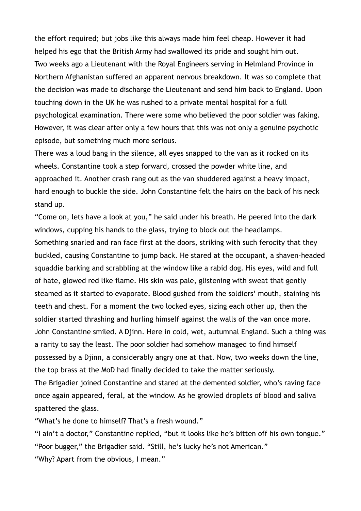the effort required; but jobs like this always made him feel cheap. However it had helped his ego that the British Army had swallowed its pride and sought him out. Two weeks ago a Lieutenant with the Royal Engineers serving in Helmland Province in Northern Afghanistan suffered an apparent nervous breakdown. It was so complete that the decision was made to discharge the Lieutenant and send him back to England. Upon touching down in the UK he was rushed to a private mental hospital for a full psychological examination. There were some who believed the poor soldier was faking. However, it was clear after only a few hours that this was not only a genuine psychotic episode, but something much more serious.

There was a loud bang in the silence, all eyes snapped to the van as it rocked on its wheels. Constantine took a step forward, crossed the powder white line, and approached it. Another crash rang out as the van shuddered against a heavy impact, hard enough to buckle the side. John Constantine felt the hairs on the back of his neck stand up.

"Come on, lets have a look at you," he said under his breath. He peered into the dark windows, cupping his hands to the glass, trying to block out the headlamps. Something snarled and ran face first at the doors, striking with such ferocity that they buckled, causing Constantine to jump back. He stared at the occupant, a shaven-headed squaddie barking and scrabbling at the window like a rabid dog. His eyes, wild and full of hate, glowed red like flame. His skin was pale, glistening with sweat that gently steamed as it started to evaporate. Blood gushed from the soldiers' mouth, staining his teeth and chest. For a moment the two locked eyes, sizing each other up, then the soldier started thrashing and hurling himself against the walls of the van once more. John Constantine smiled. A Djinn. Here in cold, wet, autumnal England. Such a thing was a rarity to say the least. The poor soldier had somehow managed to find himself possessed by a Djinn, a considerably angry one at that. Now, two weeks down the line, the top brass at the MoD had finally decided to take the matter seriously. The Brigadier joined Constantine and stared at the demented soldier, who's raving face once again appeared, feral, at the window. As he growled droplets of blood and saliva spattered the glass.

"What's he done to himself? That's a fresh wound."

"I ain't a doctor," Constantine replied, "but it looks like he's bitten off his own tongue." "Poor bugger," the Brigadier said. "Still, he's lucky he's not American." "Why? Apart from the obvious, I mean."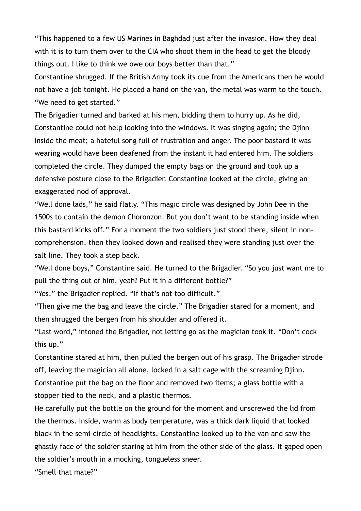"This happened to a few US Marines in Baghdad just after the invasion. How they deal with it is to turn them over to the CIA who shoot them in the head to get the bloody things out. I like to think we owe our boys better than that."

Constantine shrugged. If the British Army took its cue from the Americans then he would not have a job tonight. He placed a hand on the van, the metal was warm to the touch. "We need to get started."

The Brigadier turned and barked at his men, bidding them to hurry up. As he did, Constantine could not help looking into the windows. It was singing again; the Djinn inside the meat; a hateful song full of frustration and anger. The poor bastard it was wearing would have been deafened from the instant it had entered him. The soldiers completed the circle. They dumped the empty bags on the ground and took up a defensive posture close to the Brigadier. Constantine looked at the circle, giving an exaggerated nod of approval.

"Well done lads," he said flatly. "This magic circle was designed by John Dee in the 1500s to contain the demon Choronzon. But you don't want to be standing inside when this bastard kicks off." For a moment the two soldiers just stood there, silent in noncomprehension, then they looked down and realised they were standing just over the salt line. They took a step back.

"Well done boys," Constantine said. He turned to the Brigadier. "So you just want me to pull the thing out of him, yeah? Put it in a different bottle?"

"Yes," the Brigadier replied. "If that's not too difficult."

"Then give me the bag and leave the circle." The Brigadier stared for a moment, and then shrugged the bergen from his shoulder and offered it.

"Last word," intoned the Brigadier, not letting go as the magician took it. "Don't cock this up."

Constantine stared at him, then pulled the bergen out of his grasp. The Brigadier strode off, leaving the magician all alone, locked in a salt cage with the screaming Djinn. Constantine put the bag on the floor and removed two items; a glass bottle with a stopper tied to the neck, and a plastic thermos.

He carefully put the bottle on the ground for the moment and unscrewed the lid from the thermos. Inside, warm as body temperature, was a thick dark liquid that looked black in the semi-circle of headlights. Constantine looked up to the van and saw the ghastly face of the soldier staring at him from the other side of the glass. It gaped open the soldier's mouth in a mocking, tongueless sneer.

"Smell that mate?"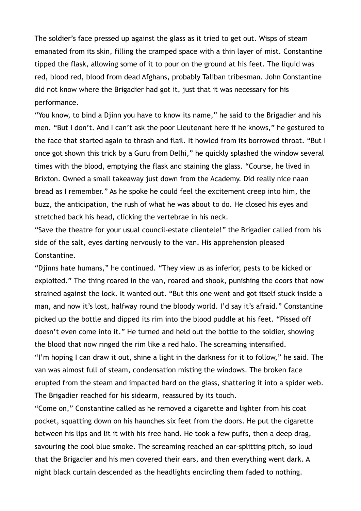The soldier's face pressed up against the glass as it tried to get out. Wisps of steam emanated from its skin, filling the cramped space with a thin layer of mist. Constantine tipped the flask, allowing some of it to pour on the ground at his feet. The liquid was red, blood red, blood from dead Afghans, probably Taliban tribesman. John Constantine did not know where the Brigadier had got it, just that it was necessary for his performance.

"You know, to bind a Djinn you have to know its name," he said to the Brigadier and his men. "But I don't. And I can't ask the poor Lieutenant here if he knows," he gestured to the face that started again to thrash and flail. It howled from its borrowed throat. "But I once got shown this trick by a Guru from Delhi," he quickly splashed the window several times with the blood, emptying the flask and staining the glass. "Course, he lived in Brixton. Owned a small takeaway just down from the Academy. Did really nice naan bread as I remember." As he spoke he could feel the excitement creep into him, the buzz, the anticipation, the rush of what he was about to do. He closed his eyes and stretched back his head, clicking the vertebrae in his neck.

"Save the theatre for your usual council-estate clientele!" the Brigadier called from his side of the salt, eyes darting nervously to the van. His apprehension pleased Constantine.

"Djinns hate humans," he continued. "They view us as inferior, pests to be kicked or exploited." The thing roared in the van, roared and shook, punishing the doors that now strained against the lock. It wanted out. "But this one went and got itself stuck inside a man, and now it's lost, halfway round the bloody world. I'd say it's afraid." Constantine picked up the bottle and dipped its rim into the blood puddle at his feet. "Pissed off doesn't even come into it." He turned and held out the bottle to the soldier, showing the blood that now ringed the rim like a red halo. The screaming intensified. "I'm hoping I can draw it out, shine a light in the darkness for it to follow," he said. The

van was almost full of steam, condensation misting the windows. The broken face erupted from the steam and impacted hard on the glass, shattering it into a spider web. The Brigadier reached for his sidearm, reassured by its touch.

"Come on," Constantine called as he removed a cigarette and lighter from his coat pocket, squatting down on his haunches six feet from the doors. He put the cigarette between his lips and lit it with his free hand. He took a few puffs, then a deep drag, savouring the cool blue smoke. The screaming reached an ear-splitting pitch, so loud that the Brigadier and his men covered their ears, and then everything went dark. A night black curtain descended as the headlights encircling them faded to nothing.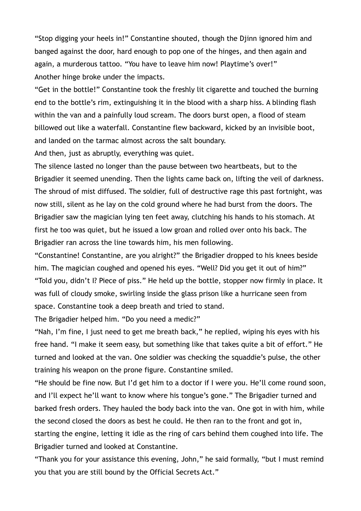"Stop digging your heels in!" Constantine shouted, though the Djinn ignored him and banged against the door, hard enough to pop one of the hinges, and then again and again, a murderous tattoo. "You have to leave him now! Playtime's over!" Another hinge broke under the impacts.

"Get in the bottle!" Constantine took the freshly lit cigarette and touched the burning end to the bottle's rim, extinguishing it in the blood with a sharp hiss. A blinding flash within the van and a painfully loud scream. The doors burst open, a flood of steam billowed out like a waterfall. Constantine flew backward, kicked by an invisible boot, and landed on the tarmac almost across the salt boundary.

And then, just as abruptly, everything was quiet.

The silence lasted no longer than the pause between two heartbeats, but to the Brigadier it seemed unending. Then the lights came back on, lifting the veil of darkness. The shroud of mist diffused. The soldier, full of destructive rage this past fortnight, was now still, silent as he lay on the cold ground where he had burst from the doors. The Brigadier saw the magician lying ten feet away, clutching his hands to his stomach. At first he too was quiet, but he issued a low groan and rolled over onto his back. The Brigadier ran across the line towards him, his men following.

"Constantine! Constantine, are you alright?" the Brigadier dropped to his knees beside him. The magician coughed and opened his eyes. "Well? Did you get it out of him?" "Told you, didn't I? Piece of piss." He held up the bottle, stopper now firmly in place. It was full of cloudy smoke, swirling inside the glass prison like a hurricane seen from space. Constantine took a deep breath and tried to stand.

The Brigadier helped him. "Do you need a medic?"

"Nah, I'm fine, I just need to get me breath back," he replied, wiping his eyes with his free hand. "I make it seem easy, but something like that takes quite a bit of effort." He turned and looked at the van. One soldier was checking the squaddie's pulse, the other training his weapon on the prone figure. Constantine smiled.

"He should be fine now. But I'd get him to a doctor if I were you. He'll come round soon, and I'll expect he'll want to know where his tongue's gone." The Brigadier turned and barked fresh orders. They hauled the body back into the van. One got in with him, while the second closed the doors as best he could. He then ran to the front and got in, starting the engine, letting it idle as the ring of cars behind them coughed into life. The Brigadier turned and looked at Constantine.

"Thank you for your assistance this evening, John," he said formally, "but I must remind you that you are still bound by the Official Secrets Act."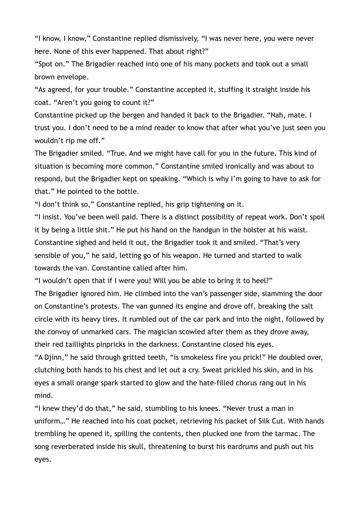"I know, I know," Constantine replied dismissively, "I was never here, you were never here. None of this ever happened. That about right?"

"Spot on." The Brigadier reached into one of his many pockets and took out a small brown envelope.

"As agreed, for your trouble." Constantine accepted it, stuffing it straight inside his coat. "Aren't you going to count it?"

Constantine picked up the bergen and handed it back to the Brigadier. "Nah, mate. I trust you. I don't need to be a mind reader to know that after what you've just seen you wouldn't rip me off."

The Brigadier smiled. "True. And we might have call for you in the future. This kind of situation is becoming more common." Constantine smiled ironically and was about to respond, but the Brigadier kept on speaking. "Which is why I'm going to have to ask for that." He pointed to the bottle.

"I don't think so," Constantine replied, his grip tightening on it.

"I insist. You've been well paid. There is a distinct possibility of repeat work. Don't spoil it by being a little shit." He put his hand on the handgun in the holster at his waist. Constantine sighed and held it out, the Brigadier took it and smiled. "That's very sensible of you," he said, letting go of his weapon. He turned and started to walk towards the van. Constantine called after him.

"I wouldn't open that if I were you! Will you be able to bring it to heel?"

The Brigadier ignored him. He climbed into the van's passenger side, slamming the door on Constantine's protests. The van gunned its engine and drove off, breaking the salt circle with its heavy tires. It rumbled out of the car park and into the night, followed by the convoy of unmarked cars. The magician scowled after them as they drove away, their red taillights pinpricks in the darkness. Constantine closed his eyes.

"A Djinn," he said through gritted teeth, "is smokeless fire you prick!" He doubled over, clutching both hands to his chest and let out a cry. Sweat prickled his skin, and in his eyes a small orange spark started to glow and the hate-filled chorus rang out in his mind.

"I knew they'd do that," he said, stumbling to his knees. "Never trust a man in uniform…" He reached into his coat pocket, retrieving his packet of Silk Cut. With hands trembling he opened it, spilling the contents, then plucked one from the tarmac. The song reverberated inside his skull, threatening to burst his eardrums and push out his eyes.